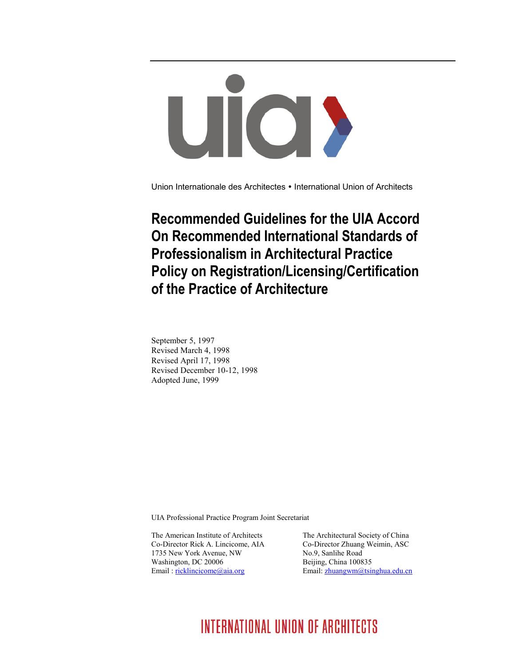# UIO >

Union Internationale des Architectes • International Union of Architects

## **Recommended Guidelines for the UIA Accord On Recommended International Standards of Professionalism in Architectural Practice Policy on Registration/Licensing/Certification of the Practice of Architecture**

September 5, 1997 Revised March 4, 1998 Revised April 17, 1998 Revised December 10-12, 1998 Adopted June, 1999

UIA Professional Practice Program Joint Secretariat

The American Institute of Architects The Architectural Society of China Co-Director Rick A. Lincicome, AIA Co-Director Zhuang Weimin, ASC 1735 New York Avenue, NW No.9, Sanlihe Road Washington, DC 20006 Beijing, China 100835 Email[: ricklincicome@aia.org](mailto:ricklincicome@aia.org) Email: [zhuangwm@tsinghua.edu.cn](mailto:zhuangwm@tsinghua.edu.cn)

# **INTERNATIONAL UNION OF ARCHITECTS**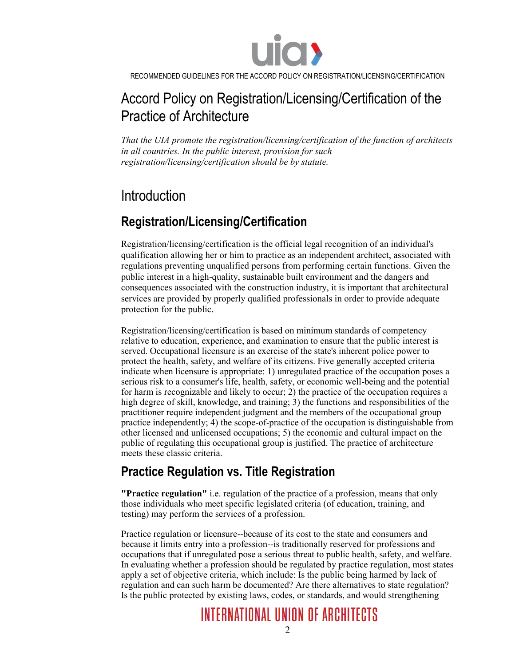

## Accord Policy on Registration/Licensing/Certification of the Practice of Architecture

*That the UIA promote the registration/licensing/certification of the function of architects in all countries. In the public interest, provision for such registration/licensing/certification should be by statute.*

## Introduction

## **Registration/Licensing/Certification**

Registration/licensing/certification is the official legal recognition of an individual's qualification allowing her or him to practice as an independent architect, associated with regulations preventing unqualified persons from performing certain functions. Given the public interest in a high-quality, sustainable built environment and the dangers and consequences associated with the construction industry, it is important that architectural services are provided by properly qualified professionals in order to provide adequate protection for the public.

Registration/licensing/certification is based on minimum standards of competency relative to education, experience, and examination to ensure that the public interest is served. Occupational licensure is an exercise of the state's inherent police power to protect the health, safety, and welfare of its citizens. Five generally accepted criteria indicate when licensure is appropriate: 1) unregulated practice of the occupation poses a serious risk to a consumer's life, health, safety, or economic well-being and the potential for harm is recognizable and likely to occur; 2) the practice of the occupation requires a high degree of skill, knowledge, and training; 3) the functions and responsibilities of the practitioner require independent judgment and the members of the occupational group practice independently; 4) the scope-of-practice of the occupation is distinguishable from other licensed and unlicensed occupations; 5) the economic and cultural impact on the public of regulating this occupational group is justified. The practice of architecture meets these classic criteria.

## **Practice Regulation vs. Title Registration**

**"Practice regulation"** i.e. regulation of the practice of a profession, means that only those individuals who meet specific legislated criteria (of education, training, and testing) may perform the services of a profession.

Practice regulation or licensure--because of its cost to the state and consumers and because it limits entry into a profession--is traditionally reserved for professions and occupations that if unregulated pose a serious threat to public health, safety, and welfare. In evaluating whether a profession should be regulated by practice regulation, most states apply a set of objective criteria, which include: Is the public being harmed by lack of regulation and can such harm be documented? Are there alternatives to state regulation? Is the public protected by existing laws, codes, or standards, and would strengthening

# **INTERNATIONAL UNION OF ARCHITECTS**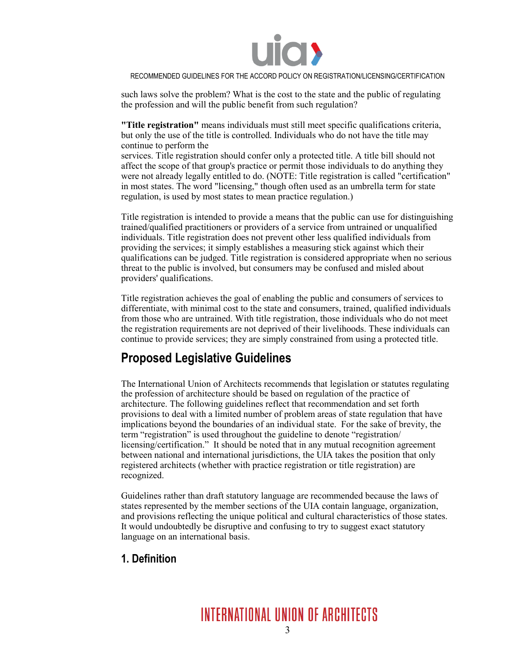

such laws solve the problem? What is the cost to the state and the public of regulating the profession and will the public benefit from such regulation?

**"Title registration"** means individuals must still meet specific qualifications criteria, but only the use of the title is controlled. Individuals who do not have the title may continue to perform the

services. Title registration should confer only a protected title. A title bill should not affect the scope of that group's practice or permit those individuals to do anything they were not already legally entitled to do. (NOTE: Title registration is called "certification" in most states. The word "licensing," though often used as an umbrella term for state regulation, is used by most states to mean practice regulation.)

Title registration is intended to provide a means that the public can use for distinguishing trained/qualified practitioners or providers of a service from untrained or unqualified individuals. Title registration does not prevent other less qualified individuals from providing the services; it simply establishes a measuring stick against which their qualifications can be judged. Title registration is considered appropriate when no serious threat to the public is involved, but consumers may be confused and misled about providers' qualifications.

Title registration achieves the goal of enabling the public and consumers of services to differentiate, with minimal cost to the state and consumers, trained, qualified individuals from those who are untrained. With title registration, those individuals who do not meet the registration requirements are not deprived of their livelihoods. These individuals can continue to provide services; they are simply constrained from using a protected title.

## **Proposed Legislative Guidelines**

The International Union of Architects recommends that legislation or statutes regulating the profession of architecture should be based on regulation of the practice of architecture. The following guidelines reflect that recommendation and set forth provisions to deal with a limited number of problem areas of state regulation that have implications beyond the boundaries of an individual state. For the sake of brevity, the term "registration" is used throughout the guideline to denote "registration/ licensing/certification." It should be noted that in any mutual recognition agreement between national and international jurisdictions, the UIA takes the position that only registered architects (whether with practice registration or title registration) are recognized.

Guidelines rather than draft statutory language are recommended because the laws of states represented by the member sections of the UIA contain language, organization, and provisions reflecting the unique political and cultural characteristics of those states. It would undoubtedly be disruptive and confusing to try to suggest exact statutory language on an international basis.

#### **1. Definition**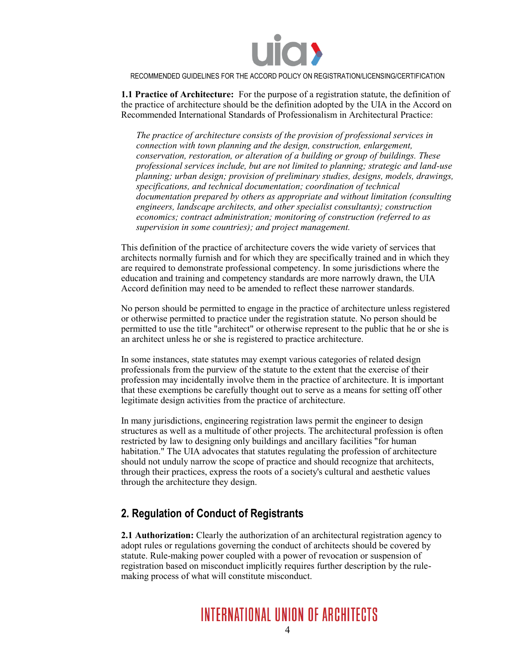

**1.1 Practice of Architecture:** For the purpose of a registration statute, the definition of the practice of architecture should be the definition adopted by the UIA in the Accord on Recommended International Standards of Professionalism in Architectural Practice:

*The practice of architecture consists of the provision of professional services in connection with town planning and the design, construction, enlargement, conservation, restoration, or alteration of a building or group of buildings. These professional services include, but are not limited to planning; strategic and land-use planning; urban design; provision of preliminary studies, designs, models, drawings, specifications, and technical documentation; coordination of technical documentation prepared by others as appropriate and without limitation (consulting engineers, landscape architects, and other specialist consultants); construction economics; contract administration; monitoring of construction (referred to as supervision in some countries); and project management.*

This definition of the practice of architecture covers the wide variety of services that architects normally furnish and for which they are specifically trained and in which they are required to demonstrate professional competency. In some jurisdictions where the education and training and competency standards are more narrowly drawn, the UIA Accord definition may need to be amended to reflect these narrower standards.

No person should be permitted to engage in the practice of architecture unless registered or otherwise permitted to practice under the registration statute. No person should be permitted to use the title "architect" or otherwise represent to the public that he or she is an architect unless he or she is registered to practice architecture.

In some instances, state statutes may exempt various categories of related design professionals from the purview of the statute to the extent that the exercise of their profession may incidentally involve them in the practice of architecture. It is important that these exemptions be carefully thought out to serve as a means for setting off other legitimate design activities from the practice of architecture.

In many jurisdictions, engineering registration laws permit the engineer to design structures as well as a multitude of other projects. The architectural profession is often restricted by law to designing only buildings and ancillary facilities "for human habitation." The UIA advocates that statutes regulating the profession of architecture should not unduly narrow the scope of practice and should recognize that architects, through their practices, express the roots of a society's cultural and aesthetic values through the architecture they design.

#### **2. Regulation of Conduct of Registrants**

**2.1 Authorization:** Clearly the authorization of an architectural registration agency to adopt rules or regulations governing the conduct of architects should be covered by statute. Rule-making power coupled with a power of revocation or suspension of registration based on misconduct implicitly requires further description by the rulemaking process of what will constitute misconduct.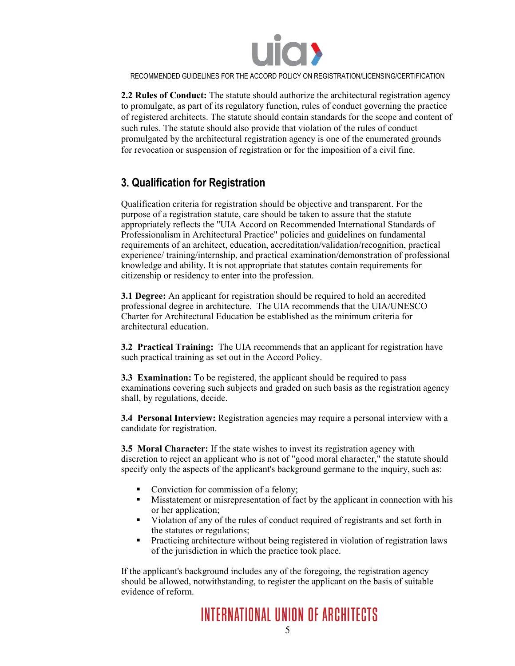

**2.2 Rules of Conduct:** The statute should authorize the architectural registration agency to promulgate, as part of its regulatory function, rules of conduct governing the practice of registered architects. The statute should contain standards for the scope and content of such rules. The statute should also provide that violation of the rules of conduct promulgated by the architectural registration agency is one of the enumerated grounds for revocation or suspension of registration or for the imposition of a civil fine.

#### **3. Qualification for Registration**

Qualification criteria for registration should be objective and transparent. For the purpose of a registration statute, care should be taken to assure that the statute appropriately reflects the "UIA Accord on Recommended International Standards of Professionalism in Architectural Practice" policies and guidelines on fundamental requirements of an architect, education, accreditation/validation/recognition, practical experience/ training/internship, and practical examination/demonstration of professional knowledge and ability. It is not appropriate that statutes contain requirements for citizenship or residency to enter into the profession.

**3.1 Degree:** An applicant for registration should be required to hold an accredited professional degree in architecture. The UIA recommends that the UIA/UNESCO Charter for Architectural Education be established as the minimum criteria for architectural education.

**3.2 Practical Training:** The UIA recommends that an applicant for registration have such practical training as set out in the Accord Policy.

**3.3 Examination:** To be registered, the applicant should be required to pass examinations covering such subjects and graded on such basis as the registration agency shall, by regulations, decide.

**3.4 Personal Interview:** Registration agencies may require a personal interview with a candidate for registration.

**3.5 Moral Character:** If the state wishes to invest its registration agency with discretion to reject an applicant who is not of "good moral character," the statute should specify only the aspects of the applicant's background germane to the inquiry, such as:

- Conviction for commission of a felony;
- Misstatement or misrepresentation of fact by the applicant in connection with his or her application;
- Violation of any of the rules of conduct required of registrants and set forth in the statutes or regulations;
- Practicing architecture without being registered in violation of registration laws of the jurisdiction in which the practice took place.

If the applicant's background includes any of the foregoing, the registration agency should be allowed, notwithstanding, to register the applicant on the basis of suitable evidence of reform.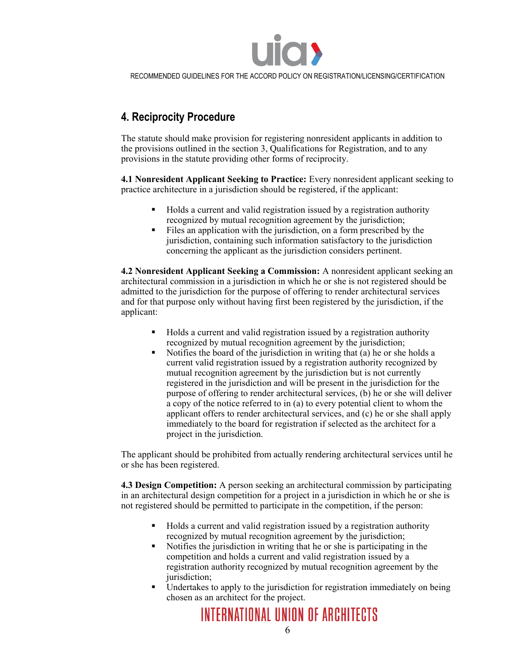

#### **4. Reciprocity Procedure**

The statute should make provision for registering nonresident applicants in addition to the provisions outlined in the section 3, Qualifications for Registration, and to any provisions in the statute providing other forms of reciprocity.

**4.1 Nonresident Applicant Seeking to Practice:** Every nonresident applicant seeking to practice architecture in a jurisdiction should be registered, if the applicant:

- Holds a current and valid registration issued by a registration authority recognized by mutual recognition agreement by the jurisdiction;
- Files an application with the jurisdiction, on a form prescribed by the jurisdiction, containing such information satisfactory to the jurisdiction concerning the applicant as the jurisdiction considers pertinent.

**4.2 Nonresident Applicant Seeking a Commission:** A nonresident applicant seeking an architectural commission in a jurisdiction in which he or she is not registered should be admitted to the jurisdiction for the purpose of offering to render architectural services and for that purpose only without having first been registered by the jurisdiction, if the applicant:

- Holds a current and valid registration issued by a registration authority recognized by mutual recognition agreement by the jurisdiction;
- Notifies the board of the jurisdiction in writing that (a) he or she holds a current valid registration issued by a registration authority recognized by mutual recognition agreement by the jurisdiction but is not currently registered in the jurisdiction and will be present in the jurisdiction for the purpose of offering to render architectural services, (b) he or she will deliver a copy of the notice referred to in (a) to every potential client to whom the applicant offers to render architectural services, and (c) he or she shall apply immediately to the board for registration if selected as the architect for a project in the jurisdiction.

The applicant should be prohibited from actually rendering architectural services until he or she has been registered.

**4.3 Design Competition:** A person seeking an architectural commission by participating in an architectural design competition for a project in a jurisdiction in which he or she is not registered should be permitted to participate in the competition, if the person:

- Holds a current and valid registration issued by a registration authority recognized by mutual recognition agreement by the jurisdiction;
- Notifies the jurisdiction in writing that he or she is participating in the competition and holds a current and valid registration issued by a registration authority recognized by mutual recognition agreement by the jurisdiction;
- Undertakes to apply to the jurisdiction for registration immediately on being chosen as an architect for the project.

INTERNATIONAL UNION OF ARCHITECTS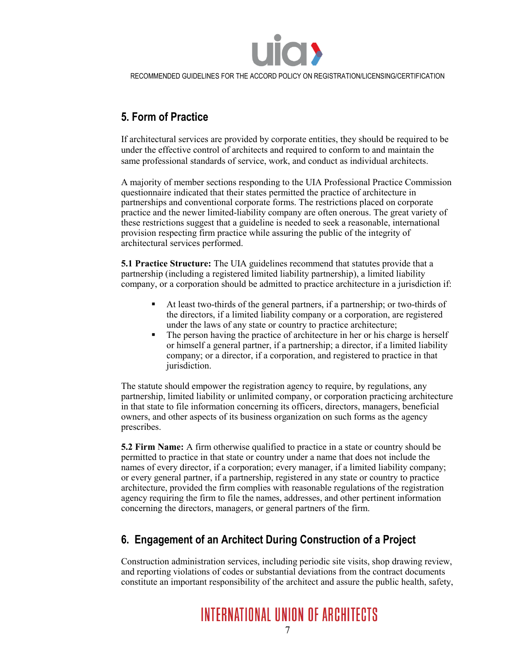

#### **5. Form of Practice**

If architectural services are provided by corporate entities, they should be required to be under the effective control of architects and required to conform to and maintain the same professional standards of service, work, and conduct as individual architects.

A majority of member sections responding to the UIA Professional Practice Commission questionnaire indicated that their states permitted the practice of architecture in partnerships and conventional corporate forms. The restrictions placed on corporate practice and the newer limited-liability company are often onerous. The great variety of these restrictions suggest that a guideline is needed to seek a reasonable, international provision respecting firm practice while assuring the public of the integrity of architectural services performed.

**5.1 Practice Structure:** The UIA guidelines recommend that statutes provide that a partnership (including a registered limited liability partnership), a limited liability company, or a corporation should be admitted to practice architecture in a jurisdiction if:

- At least two-thirds of the general partners, if a partnership; or two-thirds of the directors, if a limited liability company or a corporation, are registered under the laws of any state or country to practice architecture;
- The person having the practice of architecture in her or his charge is herself or himself a general partner, if a partnership; a director, if a limited liability company; or a director, if a corporation, and registered to practice in that jurisdiction.

The statute should empower the registration agency to require, by regulations, any partnership, limited liability or unlimited company, or corporation practicing architecture in that state to file information concerning its officers, directors, managers, beneficial owners, and other aspects of its business organization on such forms as the agency prescribes.

**5.2 Firm Name:** A firm otherwise qualified to practice in a state or country should be permitted to practice in that state or country under a name that does not include the names of every director, if a corporation; every manager, if a limited liability company; or every general partner, if a partnership, registered in any state or country to practice architecture, provided the firm complies with reasonable regulations of the registration agency requiring the firm to file the names, addresses, and other pertinent information concerning the directors, managers, or general partners of the firm.

#### **6. Engagement of an Architect During Construction of a Project**

Construction administration services, including periodic site visits, shop drawing review, and reporting violations of codes or substantial deviations from the contract documents constitute an important responsibility of the architect and assure the public health, safety,